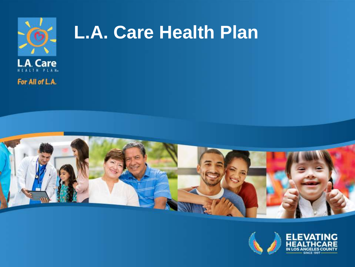

# **L.A. Care Health Plan**



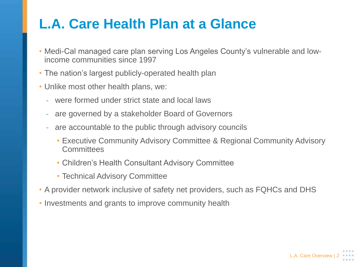#### **L.A. Care Health Plan at a Glance**

- Medi-Cal managed care plan serving Los Angeles County's vulnerable and lowincome communities since 1997
- The nation's largest publicly-operated health plan
- Unlike most other health plans, we:
	- were formed under strict state and local laws
	- are governed by a stakeholder Board of Governors
	- are accountable to the public through advisory councils
		- Executive Community Advisory Committee & Regional Community Advisory **Committees**
		- Children's Health Consultant Advisory Committee
		- Technical Advisory Committee
- A provider network inclusive of safety net providers, such as FQHCs and DHS
- Investments and grants to improve community health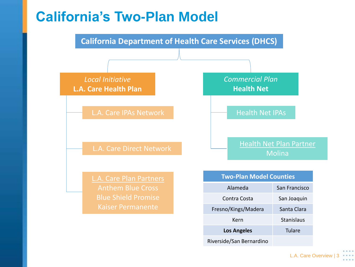#### **California's Two-Plan Model**



Riverside/San Bernardino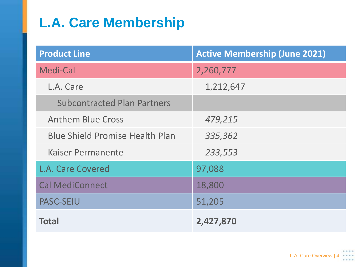# **L.A. Care Membership**

| <b>Product Line</b>                    | <b>Active Membership (June 2021)</b> |
|----------------------------------------|--------------------------------------|
| Medi-Cal                               | 2,260,777                            |
| L.A. Care                              | 1,212,647                            |
| <b>Subcontracted Plan Partners</b>     |                                      |
| <b>Anthem Blue Cross</b>               | 479,215                              |
| <b>Blue Shield Promise Health Plan</b> | 335,362                              |
| Kaiser Permanente                      | 233,553                              |
| <b>L.A. Care Covered</b>               | 97,088                               |
| <b>Cal MediConnect</b>                 | 18,800                               |
| <b>PASC-SEIU</b>                       | 51,205                               |
| <b>Total</b>                           | 2,427,870                            |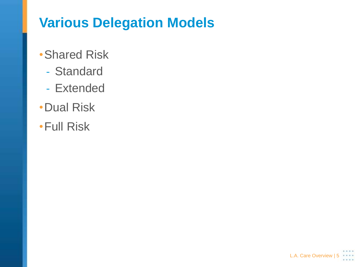## **Various Delegation Models**

- •Shared Risk
	- Standard
	- Extended
- •Dual Risk
- •Full Risk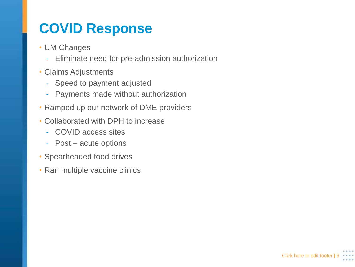## **COVID Response**

- UM Changes
	- Eliminate need for pre-admission authorization
- Claims Adjustments
	- Speed to payment adjusted
	- Payments made without authorization
- Ramped up our network of DME providers
- Collaborated with DPH to increase
	- COVID access sites
	- Post acute options
- Spearheaded food drives
- Ran multiple vaccine clinics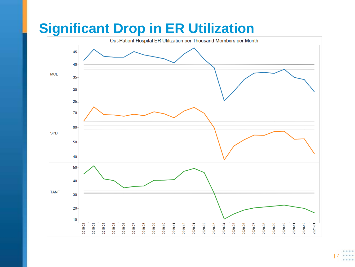## **Significant Drop in ER Utilization**

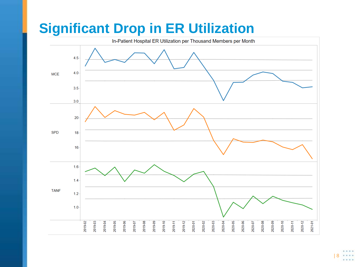# **Significant Drop in ER Utilization**

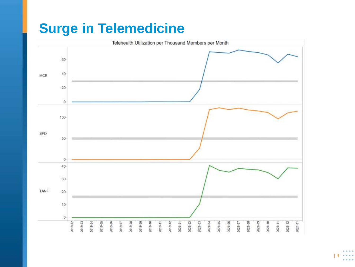#### **Surge in Telemedicine**

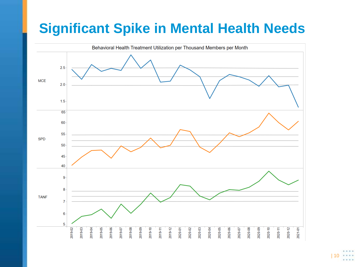#### **Significant Spike in Mental Health Needs**

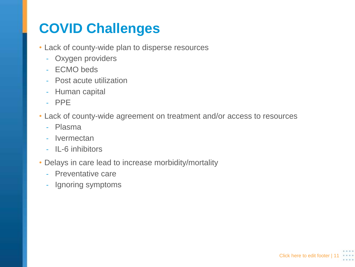# **COVID Challenges**

- Lack of county-wide plan to disperse resources
	- Oxygen providers
	- ECMO beds
	- Post acute utilization
	- Human capital
	- PPE
- Lack of county-wide agreement on treatment and/or access to resources
	- Plasma
	- Ivermectan
	- IL-6 inhibitors
- Delays in care lead to increase morbidity/mortality
	- Preventative care
	- Ignoring symptoms